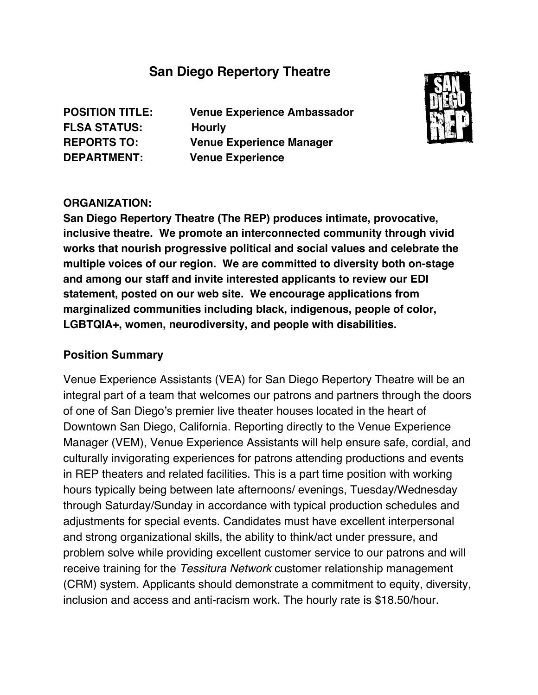# **San Diego Repertory Theatre**

**FLSA STATUS: Hourly**

**POSITION TITLE: Venue Experience Ambassador REPORTS TO: Venue Experience Manager DEPARTMENT: Venue Experience**



#### **ORGANIZATION:**

**San Diego Repertory Theatre (The REP) produces intimate, provocative, inclusive theatre. We promote an interconnected community through vivid works that nourish progressive political and social values and celebrate the multiple voices of our region. We are committed to diversity both on-stage and among our staff and invite interested applicants to review our EDI statement, posted on our web site. We encourage applications from marginalized communities including black, indigenous, people of color, LGBTQIA+, women, neurodiversity, and people with disabilities.**

#### **Position Summary**

Venue Experience Assistants (VEA) for San Diego Repertory Theatre will be an integral part of a team that welcomes our patrons and partners through the doors of one of San Diego's premier live theater houses located in the heart of Downtown San Diego, California. Reporting directly to the Venue Experience Manager (VEM), Venue Experience Assistants will help ensure safe, cordial, and culturally invigorating experiences for patrons attending productions and events in REP theaters and related facilities. This is a part time position with working hours typically being between late afternoons/ evenings, Tuesday/Wednesday through Saturday/Sunday in accordance with typical production schedules and adjustments for special events. Candidates must have excellent interpersonal and strong organizational skills, the ability to think/act under pressure, and problem solve while providing excellent customer service to our patrons and will receive training for the *Tessitura Network* customer relationship management (CRM) system. Applicants should demonstrate a commitment to equity, diversity, inclusion and access and anti-racism work. The hourly rate is \$18.50/hour.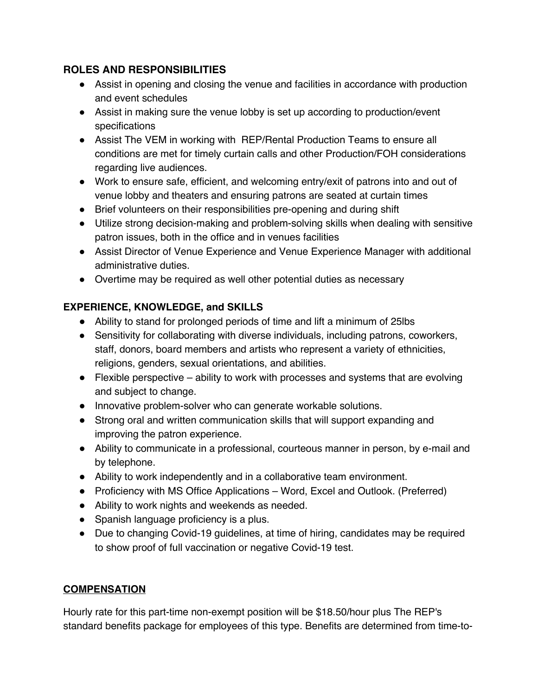## **ROLES AND RESPONSIBILITIES**

- Assist in opening and closing the venue and facilities in accordance with production and event schedules
- Assist in making sure the venue lobby is set up according to production/event specifications
- Assist The VEM in working with REP/Rental Production Teams to ensure all conditions are met for timely curtain calls and other Production/FOH considerations regarding live audiences.
- Work to ensure safe, efficient, and welcoming entry/exit of patrons into and out of venue lobby and theaters and ensuring patrons are seated at curtain times
- Brief volunteers on their responsibilities pre-opening and during shift
- Utilize strong decision-making and problem-solving skills when dealing with sensitive patron issues, both in the office and in venues facilities
- Assist Director of Venue Experience and Venue Experience Manager with additional administrative duties.
- Overtime may be required as well other potential duties as necessary

## **EXPERIENCE, KNOWLEDGE, and SKILLS**

- Ability to stand for prolonged periods of time and lift a minimum of 25lbs
- Sensitivity for collaborating with diverse individuals, including patrons, coworkers, staff, donors, board members and artists who represent a variety of ethnicities, religions, genders, sexual orientations, and abilities.
- $\bullet$  Flexible perspective ability to work with processes and systems that are evolving and subject to change.
- Innovative problem-solver who can generate workable solutions.
- Strong oral and written communication skills that will support expanding and improving the patron experience.
- Ability to communicate in a professional, courteous manner in person, by e-mail and by telephone.
- Ability to work independently and in a collaborative team environment.
- Proficiency with MS Office Applications Word, Excel and Outlook. (Preferred)
- Ability to work nights and weekends as needed.
- Spanish language proficiency is a plus.
- Due to changing Covid-19 guidelines, at time of hiring, candidates may be required to show proof of full vaccination or negative Covid-19 test.

## **COMPENSATION**

Hourly rate for this part-time non-exempt position will be \$18.50/hour plus The REP's standard benefits package for employees of this type. Benefits are determined from time-to